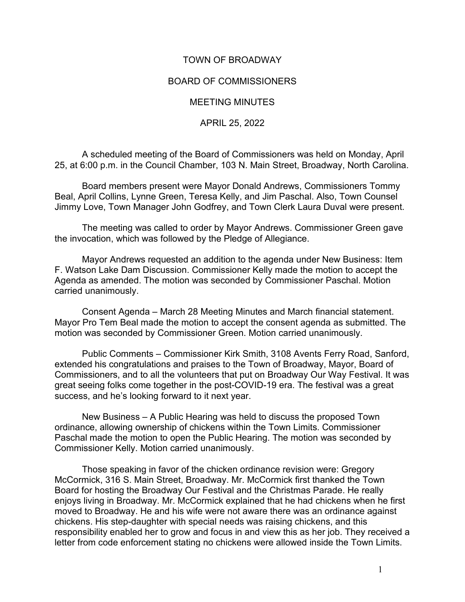## TOWN OF BROADWAY

## BOARD OF COMMISSIONERS

MEETING MINUTES

APRIL 25, 2022

A scheduled meeting of the Board of Commissioners was held on Monday, April 25, at 6:00 p.m. in the Council Chamber, 103 N. Main Street, Broadway, North Carolina.

Board members present were Mayor Donald Andrews, Commissioners Tommy Beal, April Collins, Lynne Green, Teresa Kelly, and Jim Paschal. Also, Town Counsel Jimmy Love, Town Manager John Godfrey, and Town Clerk Laura Duval were present.

The meeting was called to order by Mayor Andrews. Commissioner Green gave the invocation, which was followed by the Pledge of Allegiance.

Mayor Andrews requested an addition to the agenda under New Business: Item F. Watson Lake Dam Discussion. Commissioner Kelly made the motion to accept the Agenda as amended. The motion was seconded by Commissioner Paschal. Motion carried unanimously.

Consent Agenda – March 28 Meeting Minutes and March financial statement. Mayor Pro Tem Beal made the motion to accept the consent agenda as submitted. The motion was seconded by Commissioner Green. Motion carried unanimously.

Public Comments – Commissioner Kirk Smith, 3108 Avents Ferry Road, Sanford, extended his congratulations and praises to the Town of Broadway, Mayor, Board of Commissioners, and to all the volunteers that put on Broadway Our Way Festival. It was great seeing folks come together in the post-COVID-19 era. The festival was a great success, and he's looking forward to it next year.

New Business – A Public Hearing was held to discuss the proposed Town ordinance, allowing ownership of chickens within the Town Limits. Commissioner Paschal made the motion to open the Public Hearing. The motion was seconded by Commissioner Kelly. Motion carried unanimously.

Those speaking in favor of the chicken ordinance revision were: Gregory McCormick, 316 S. Main Street, Broadway. Mr. McCormick first thanked the Town Board for hosting the Broadway Our Festival and the Christmas Parade. He really enjoys living in Broadway. Mr. McCormick explained that he had chickens when he first moved to Broadway. He and his wife were not aware there was an ordinance against chickens. His step-daughter with special needs was raising chickens, and this responsibility enabled her to grow and focus in and view this as her job. They received a letter from code enforcement stating no chickens were allowed inside the Town Limits.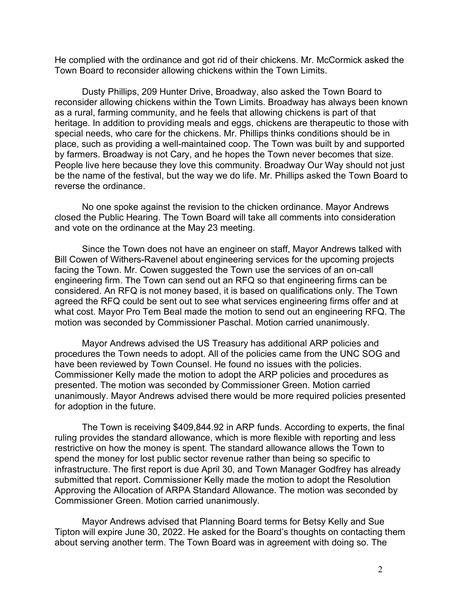He complied with the ordinance and got rid of their chickens. Mr. McCormick asked the Town Board to reconsider allowing chickens within the Town Limits.

Dusty Phillips, 209 Hunter Drive, Broadway, also asked the Town Board to reconsider allowing chickens within the Town Limits. Broadway has always been known as a rural, farming community, and he feels that allowing chickens is part of that heritage. In addition to providing meals and eggs, chickens are therapeutic to those with special needs, who care for the chickens. Mr. Phillips thinks conditions should be in place, such as providing a well-maintained coop. The Town was built by and supported by farmers. Broadway is not Cary, and he hopes the Town never becomes that size. People live here because they love this community. Broadway Our Way should not just be the name of the festival, but the way we do life. Mr. Phillips asked the Town Board to reverse the ordinance.

No one spoke against the revision to the chicken ordinance. Mayor Andrews closed the Public Hearing. The Town Board will take all comments into consideration and vote on the ordinance at the May 23 meeting.

Since the Town does not have an engineer on staff, Mayor Andrews talked with Bill Cowen of Withers-Ravenel about engineering services for the upcoming projects facing the Town. Mr. Cowen suggested the Town use the services of an on-call engineering firm. The Town can send out an RFQ so that engineering firms can be considered. An RFQ is not money based, it is based on qualifications only. The Town agreed the RFQ could be sent out to see what services engineering firms offer and at what cost. Mayor Pro Tem Beal made the motion to send out an engineering RFQ. The motion was seconded by Commissioner Paschal. Motion carried unanimously.

Mayor Andrews advised the US Treasury has additional ARP policies and procedures the Town needs to adopt. All of the policies came from the UNC SOG and have been reviewed by Town Counsel. He found no issues with the policies. Commissioner Kelly made the motion to adopt the ARP policies and procedures as presented. The motion was seconded by Commissioner Green. Motion carried unanimously. Mayor Andrews advised there would be more required policies presented for adoption in the future.

The Town is receiving \$409,844.92 in ARP funds. According to experts, the final ruling provides the standard allowance, which is more flexible with reporting and less restrictive on how the money is spent. The standard allowance allows the Town to spend the money for lost public sector revenue rather than being so specific to infrastructure. The first report is due April 30, and Town Manager Godfrey has already submitted that report. Commissioner Kelly made the motion to adopt the Resolution Approving the Allocation of ARPA Standard Allowance. The motion was seconded by Commissioner Green. Motion carried unanimously.

Mayor Andrews advised that Planning Board terms for Betsy Kelly and Sue Tipton will expire June 30, 2022. He asked for the Board's thoughts on contacting them about serving another term. The Town Board was in agreement with doing so. The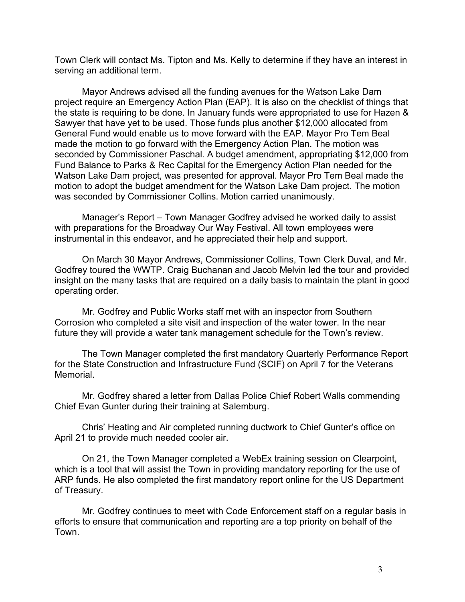Town Clerk will contact Ms. Tipton and Ms. Kelly to determine if they have an interest in serving an additional term.

Mayor Andrews advised all the funding avenues for the Watson Lake Dam project require an Emergency Action Plan (EAP). It is also on the checklist of things that the state is requiring to be done. In January funds were appropriated to use for Hazen & Sawyer that have yet to be used. Those funds plus another \$12,000 allocated from General Fund would enable us to move forward with the EAP. Mayor Pro Tem Beal made the motion to go forward with the Emergency Action Plan. The motion was seconded by Commissioner Paschal. A budget amendment, appropriating \$12,000 from Fund Balance to Parks & Rec Capital for the Emergency Action Plan needed for the Watson Lake Dam project, was presented for approval. Mayor Pro Tem Beal made the motion to adopt the budget amendment for the Watson Lake Dam project. The motion was seconded by Commissioner Collins. Motion carried unanimously.

Manager's Report – Town Manager Godfrey advised he worked daily to assist with preparations for the Broadway Our Way Festival. All town employees were instrumental in this endeavor, and he appreciated their help and support.

On March 30 Mayor Andrews, Commissioner Collins, Town Clerk Duval, and Mr. Godfrey toured the WWTP. Craig Buchanan and Jacob Melvin led the tour and provided insight on the many tasks that are required on a daily basis to maintain the plant in good operating order.

Mr. Godfrey and Public Works staff met with an inspector from Southern Corrosion who completed a site visit and inspection of the water tower. In the near future they will provide a water tank management schedule for the Town's review.

The Town Manager completed the first mandatory Quarterly Performance Report for the State Construction and Infrastructure Fund (SCIF) on April 7 for the Veterans Memorial.

Mr. Godfrey shared a letter from Dallas Police Chief Robert Walls commending Chief Evan Gunter during their training at Salemburg.

Chris' Heating and Air completed running ductwork to Chief Gunter's office on April 21 to provide much needed cooler air.

On 21, the Town Manager completed a WebEx training session on Clearpoint, which is a tool that will assist the Town in providing mandatory reporting for the use of ARP funds. He also completed the first mandatory report online for the US Department of Treasury.

Mr. Godfrey continues to meet with Code Enforcement staff on a regular basis in efforts to ensure that communication and reporting are a top priority on behalf of the Town.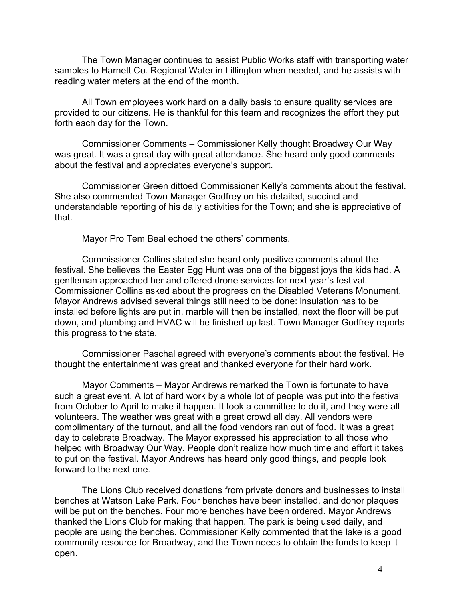The Town Manager continues to assist Public Works staff with transporting water samples to Harnett Co. Regional Water in Lillington when needed, and he assists with reading water meters at the end of the month.

All Town employees work hard on a daily basis to ensure quality services are provided to our citizens. He is thankful for this team and recognizes the effort they put forth each day for the Town.

Commissioner Comments – Commissioner Kelly thought Broadway Our Way was great. It was a great day with great attendance. She heard only good comments about the festival and appreciates everyone's support.

Commissioner Green dittoed Commissioner Kelly's comments about the festival. She also commended Town Manager Godfrey on his detailed, succinct and understandable reporting of his daily activities for the Town; and she is appreciative of that.

Mayor Pro Tem Beal echoed the others' comments.

Commissioner Collins stated she heard only positive comments about the festival. She believes the Easter Egg Hunt was one of the biggest joys the kids had. A gentleman approached her and offered drone services for next year's festival. Commissioner Collins asked about the progress on the Disabled Veterans Monument. Mayor Andrews advised several things still need to be done: insulation has to be installed before lights are put in, marble will then be installed, next the floor will be put down, and plumbing and HVAC will be finished up last. Town Manager Godfrey reports this progress to the state.

Commissioner Paschal agreed with everyone's comments about the festival. He thought the entertainment was great and thanked everyone for their hard work.

Mayor Comments – Mayor Andrews remarked the Town is fortunate to have such a great event. A lot of hard work by a whole lot of people was put into the festival from October to April to make it happen. It took a committee to do it, and they were all volunteers. The weather was great with a great crowd all day. All vendors were complimentary of the turnout, and all the food vendors ran out of food. It was a great day to celebrate Broadway. The Mayor expressed his appreciation to all those who helped with Broadway Our Way. People don't realize how much time and effort it takes to put on the festival. Mayor Andrews has heard only good things, and people look forward to the next one.

The Lions Club received donations from private donors and businesses to install benches at Watson Lake Park. Four benches have been installed, and donor plaques will be put on the benches. Four more benches have been ordered. Mayor Andrews thanked the Lions Club for making that happen. The park is being used daily, and people are using the benches. Commissioner Kelly commented that the lake is a good community resource for Broadway, and the Town needs to obtain the funds to keep it open.